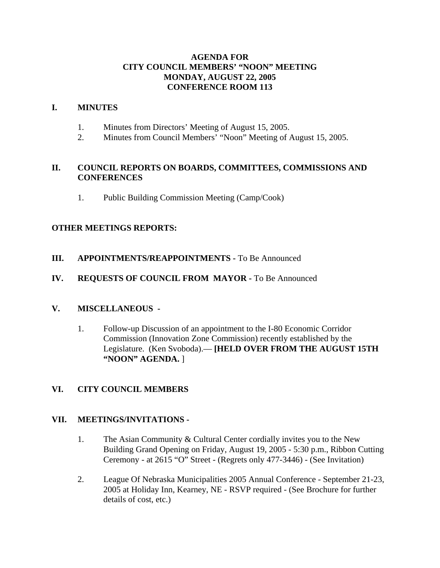# **AGENDA FOR CITY COUNCIL MEMBERS' "NOON" MEETING MONDAY, AUGUST 22, 2005 CONFERENCE ROOM 113**

### **I. MINUTES**

- 1. Minutes from Directors' Meeting of August 15, 2005.
- 2. Minutes from Council Members' "Noon" Meeting of August 15, 2005.

# **II. COUNCIL REPORTS ON BOARDS, COMMITTEES, COMMISSIONS AND CONFERENCES**

1. Public Building Commission Meeting (Camp/Cook)

# **OTHER MEETINGS REPORTS:**

**III.** APPOINTMENTS/REAPPOINTMENTS - To Be Announced

# **IV. REQUESTS OF COUNCIL FROM MAYOR -** To Be Announced

### **V. MISCELLANEOUS -**

1. Follow-up Discussion of an appointment to the I-80 Economic Corridor Commission (Innovation Zone Commission) recently established by the Legislature. (Ken Svoboda).— **[HELD OVER FROM THE AUGUST 15TH "NOON" AGENDA.** ]

# **VI. CITY COUNCIL MEMBERS**

### **VII. MEETINGS/INVITATIONS -**

- 1. The Asian Community & Cultural Center cordially invites you to the New Building Grand Opening on Friday, August 19, 2005 - 5:30 p.m., Ribbon Cutting Ceremony - at 2615 "O" Street - (Regrets only 477-3446) - (See Invitation)
- 2. League Of Nebraska Municipalities 2005 Annual Conference September 21-23, 2005 at Holiday Inn, Kearney, NE - RSVP required - (See Brochure for further details of cost, etc.)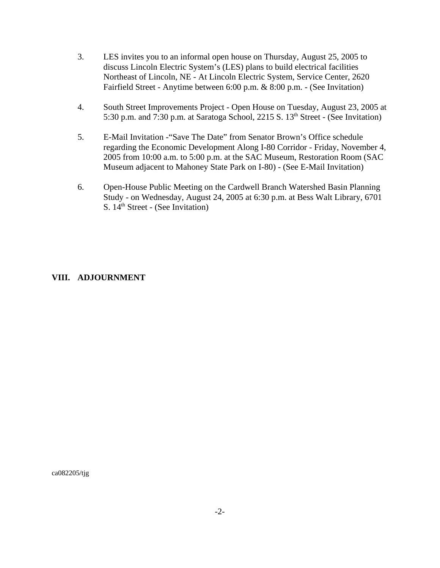- 3. LES invites you to an informal open house on Thursday, August 25, 2005 to discuss Lincoln Electric System's (LES) plans to build electrical facilities Northeast of Lincoln, NE - At Lincoln Electric System, Service Center, 2620 Fairfield Street - Anytime between 6:00 p.m. & 8:00 p.m. - (See Invitation)
- 4. South Street Improvements Project Open House on Tuesday, August 23, 2005 at 5:30 p.m. and  $7:30$  p.m. at Saratoga School, 2215 S. 13<sup>th</sup> Street - (See Invitation)
- 5. E-Mail Invitation -"Save The Date" from Senator Brown's Office schedule regarding the Economic Development Along I-80 Corridor - Friday, November 4, 2005 from 10:00 a.m. to 5:00 p.m. at the SAC Museum, Restoration Room (SAC Museum adjacent to Mahoney State Park on I-80) - (See E-Mail Invitation)
- 6. Open-House Public Meeting on the Cardwell Branch Watershed Basin Planning Study - on Wednesday, August 24, 2005 at 6:30 p.m. at Bess Walt Library, 6701 S. 14<sup>th</sup> Street - (See Invitation)

# **VIII. ADJOURNMENT**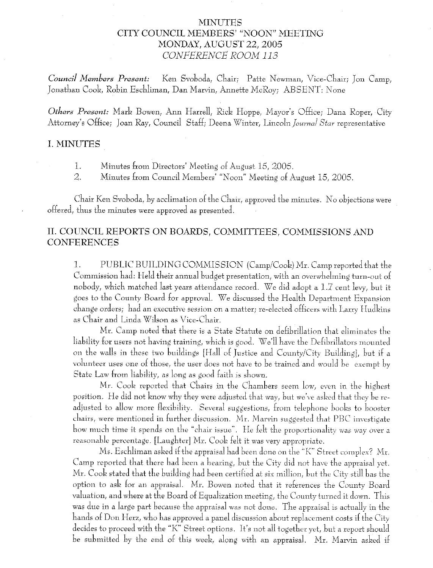# MINUTES CITY COUNCIL MEMBERS' "NOON" MEETING MONDAY, AUGUST 22, 2005 CONFERENCE ROOM 113

Council Members Present: Ken Svoboda, Chair; Patte Newman, Vice-Chair; Jon Camp, Jonathan Cook, Robin Eschliman, Dan Marvin, Annette McRoy; ABSENT: None

Others Present: Mark Bowen, Ann Harrell, Rick Hoppe, Mayor's Office; Dana Roper, City Attorney's Office; Joan Ray, Council Staff; Deena Winter, Lincoln Journal Star representative

#### **I. MINUTES**

1. Minutes from Directors' Meeting of August 15, 2005.

2. Minutes from Council Members' "Noon" Meeting of August 15, 2005.

Chair Ken Svoboda, by acclimation of the Chair, approved the minutes. No objections were offered, thus the minutes were approved as presented.

# II. COUNCIL REPORTS ON BOARDS, COMMITTEES, COMMISSIONS AND **CONFERENCES**

PUBLIC BUILDING COMMISSION (Camp/Cook) Mr. Camp reported that the  $\mathbf{1}$ . Commission had: Held their annual budget presentation, with an overwhelming turn-out of nobody, which matched last years attendance record. We did adopt a 1.7 cent levy, but it goes to the County Board for approval. We discussed the Health Department Expansion change orders; had an executive session on a matter; re-elected officers with Larry Hudkins as Chair and Linda Wilson as Vice-Chair.

Mr. Camp noted that there is a State Statute on defibrillation that eliminates the liability for users not having training, which is good. We'll have the Defibrillators mounted on the walls in these two buildings [Hall of Justice and County/City Building], but if a volunteer uses one of those, the user does not have to be trained and would be exempt by State Law from liability, as long as good faith is shown.

Mr. Cook reported that Chairs in the Chambers seem low, even in the highest position. He did not know why they were adjusted that way, but we've asked that they be readjusted to allow more flexibility. Several suggestions, from telephone books to booster chairs, were mentioned in further discussion. Mr. Marvin suggested that PBC investigate how much time it spends on the "chair issue". He felt the proportionality was way over a reasonable percentage. [Laughter] Mr. Cook felt it was very appropriate.

Ms. Eschliman asked if the appraisal had been done on the "K" Street complex? Mr. Camp reported that there had been a hearing, but the City did not have the appraisal yet. Mr. Cook stated that the building had been certified at six million, but the City still has the option to ask for an appraisal. Mr. Bowen noted that it references the County Board valuation, and where at the Board of Equalization meeting, the County turned it down. This was due in a large part because the appraisal was not done. The appraisal is actually in the hands of Don Herz, who has approved a panel discussion about replacement costs if the City decides to proceed with the "K" Street options. It's not all together yet, but a report should be submitted by the end of this week, along with an appraisal. Mr. Marvin asked if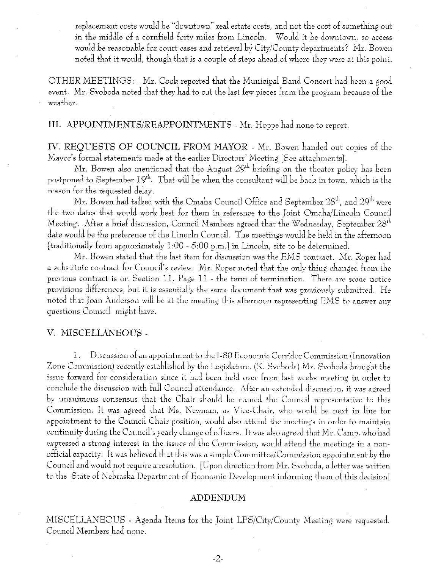replacement costs would be "downtown" real estate costs, and not the cost of something out in the middle of a cornfield forty miles from Lincoln. Would it be downtown, so access would be reasonable for court cases and retrieval by City/County departments? Mr. Bowen noted that it would, though that is a couple of steps ahead of where they were at this point.

OTHER MEETINGS: - Mr. Cook reported that the Municipal Band Concert had been a good event. Mr. Svoboda noted that they had to cut the last few pieces from the program because of the weather.

III. APPOINTMENTS/REAPPOINTMENTS - Mr. Hoppe had none to report.

IV. REOUESTS OF COUNCIL FROM MAYOR - Mr. Bowen handed out copies of the Mayor's formal statements made at the earlier Directors' Meeting [See attachments].

Mr. Bowen also mentioned that the August 29<sup>th</sup> briefing on the theater policy has been postponed to September 19<sup>th</sup>. That will be when the consultant will be back in town, which is the reason for the requested delay.

Mr. Bowen had talked with the Omaha Council Office and September 28<sup>th</sup>, and 29<sup>th</sup> were the two dates that would work best for them in reference to the Joint Omaha/Lincoln Council Meeting. After a brief discussion, Council Members agreed that the Wednesday, September 28<sup>th</sup> date would be the preference of the Lincoln Council. The meetings would be held in the afternoon [traditionally from approximately 1:00 - 5:00 p.m.] in Lincoln, site to be determined.

Mr. Bowen stated that the last item for discussion was the EMS contract. Mr. Roper had a substitute contract for Council's review. Mr. Roper noted that the only thing changed from the previous contract is on Section 11, Page 11 - the term of termination. There are some notice provisions differences, but it is essentially the same document that was previously submitted. He noted that Joan Anderson will be at the meeting this afternoon representing EMS to answer any questions Council might have.

### V. MISCELLANEOUS -

 $\mathbf{1}$ . Discussion of an appointment to the I-80 Economic Corridor Commission (Innovation Zone Commission) recently established by the Legislature. (K. Svoboda) Mr. Svoboda brought the issue forward for consideration since it had been held over from last weeks meeting in order to conclude the discussion with full Council attendance. After an extended discussion, it was agreed by unanimous consensus that the Chair should be named the Council representative to this Commission. It was agreed that Ms. Newman, as Vice-Chair, who would be next in line for appointment to the Council Chair position, would also attend the meetings in order to maintain continuity during the Council's yearly change of officers. It was also agreed that Mr. Camp, who had expressed a strong interest in the issues of the Commission, would attend the meetings in a nonofficial capacity. It was believed that this was a simple Committee/Commission appointment by the Council and would not require a resolution. [Upon direction from Mr. Svoboda, a letter was written to the State of Nebraska Department of Economic Development informing them of this decision]

#### **ADDENDUM**

MISCELLANEOUS - Agenda Items for the Joint LPS/City/County Meeting were requested. Council Members had none.

 $-2-$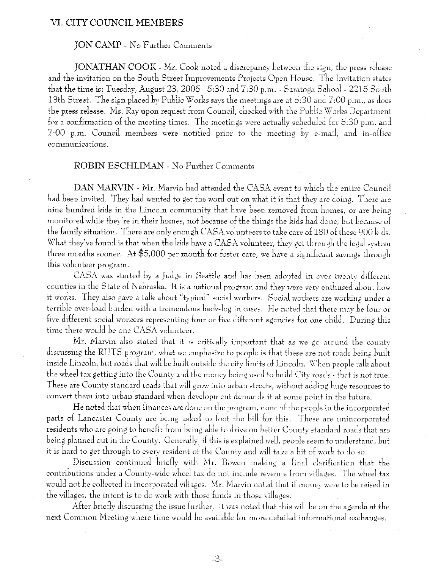#### VI. CITY COUNCIL MEMBERS

### **JON CAMP** - No Further Comments

JONATHAN COOK - Mr. Cook noted a discrepancy between the sign, the press release and the invitation on the South Street Improvements Projects Open House. The Invitation states that the time is: Tuesday, August 23, 2005 - 5:30 and 7:30 p.m. - Saratoga School - 2215 South 13th Street. The sign placed by Public Works says the meetings are at 5:30 and 7:00 p.m., as does the press release. Ms. Ray upon request from Council, checked with the Public Works Department for a confirmation of the meeting times. The meetings were actually scheduled for 5:30 p.m. and 7:00 p.m. Council members were notified prior to the meeting by e-mail, and in-office communications.

#### **ROBIN ESCHLIMAN** - No Further Comments

DAN MARVIN - Mr. Marvin had attended the CASA event to which the entire Council had been invited. They had wanted to get the word out on what it is that they are doing. There are nine hundred kids in the Lincoln community that have been removed from homes, or are being monitored while they're in their homes, not because of the things the kids had done, but because of the family situation. There are only enough CASA volunteers to take care of 180 of these 900 kids. What they've found is that when the kids have a CASA volunteer, they get through the legal system three months sooner. At \$5,000 per month for foster care, we have a significant savings through this volunteer program.

CASA was started by a Judge in Seattle and has been adopted in over twenty different counties in the State of Nebraska. It is a national program and they were very enthused about how it works. They also gave a talk about "typical" social workers. Social workers are working under a terrible over-load burden with a tremendous back-log in cases. He noted that there may be four or five different social workers representing four or five different agencies for one child. During this time there would be one CASA volunteer.

Mr. Marvin also stated that it is critically important that as we go around the county discussing the RUTS program, what we emphasize to people is that these are not roads being built inside Lincoln, but roads that will be built outside the city limits of Lincoln. When people talk about the wheel tax getting into the County and the money being used to build City roads - that is not true. These are County standard roads that will grow into urban streets, without adding huge resources to convert them into urban standard when development demands it at some point in the future.

He noted that when finances are done on the program, none of the people in the incorporated parts of Lancaster County are being asked to foot the bill for this. These are unincorporated residents who are going to benefit from being able to drive on better County standard roads that are being planned out in the County. Generally, if this is explained well, people seem to understand, but it is hard to get through to every resident of the County and will take a bit of work to do so.

Discussion continued briefly with Mr. Bowen making a final clarification that the contributions under a County-wide wheel tax do not include revenue from villages. The wheel tax would not be collected in incorporated villages. Mr. Marvin noted that if money were to be raised in the villages, the intent is to do work with those funds in those villages.

After briefly discussing the issue further, it was noted that this will be on the agenda at the next Common Meeting where time would be available for more detailed informational exchanges.

 $-3-$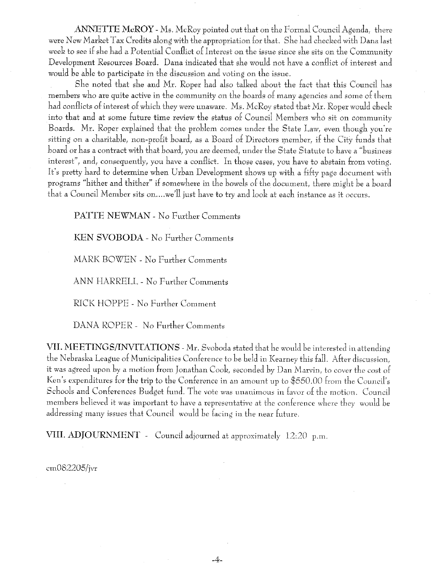ANNETTE McROY - Ms. McRoy pointed out that on the Formal Council Agenda, there were New Market Tax Credits along with the appropriation for that. She had checked with Dana last week to see if she had a Potential Conflict of Interest on the issue since she sits on the Community Development Resources Board. Dana indicated that she would not have a conflict of interest and would be able to participate in the discussion and voting on the issue.

She noted that she and Mr. Roper had also talked about the fact that this Council has members who are quite active in the community on the boards of many agencies and some of them had conflicts of interest of which they were unaware. Ms. McRoy stated that Mr. Roper would check into that and at some future time review the status of Council Members who sit on community Boards. Mr. Roper explained that the problem comes under the State Law, even though you're sitting on a charitable, non-profit board, as a Board of Directors member, if the City funds that board or has a contract with that board, you are deemed, under the State Statute to have a "business interest", and, consequently, you have a conflict. In those cases, you have to abstain from voting. It's pretty hard to determine when Urban Development shows up with a fifty page document with programs "hither and thither" if somewhere in the bowels of the document, there might be a board that a Council Member sits on....we'll just have to try and look at each instance as it occurs.

PATTE NEWMAN - No Further Comments

KEN SVOBODA - No Further Comments

MARK BOWEN - No Further Comments

ANN HARRELL - No Further Comments

RICK HOPPE - No Further Comment

DANA ROPER - No Further Comments

VII. MEETINGS/INVITATIONS - Mr. Svoboda stated that he would be interested in attending the Nebraska League of Municipalities Conference to be held in Kearney this fall. After discussion. it was agreed upon by a motion from Jonathan Cook, seconded by Dan Marvin, to cover the cost of Ken's expenditures for the trip to the Conference in an amount up to \$550.00 from the Council's Schools and Conferences Budget fund. The vote was unanimous in favor of the motion. Council members believed it was important to have a representative at the conference where they would be addressing many issues that Council would be facing in the near future.

 $-4.$ 

VIII. ADJOURNMENT - Council adjourned at approximately 12:20 p.m.

 $cm082205/ivr$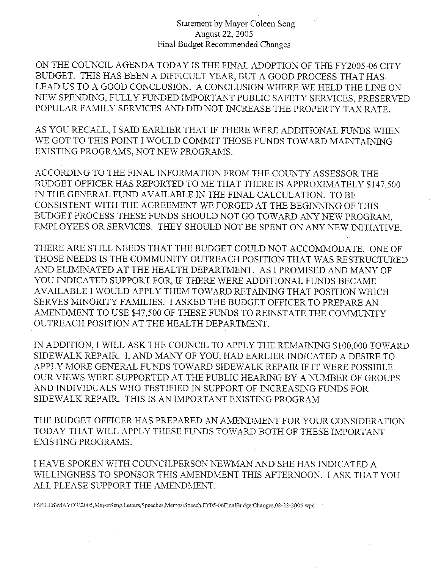### Statement by Mayor Coleen Seng August 22, 2005 Final Budget Recommended Changes

ON THE COUNCIL AGENDA TODAY IS THE FINAL ADOPTION OF THE FY2005-06 CITY BUDGET. THIS HAS BEEN A DIFFICULT YEAR, BUT A GOOD PROCESS THAT HAS. LEAD US TO A GOOD CONCLUSION. A CONCLUSION WHERE WE HELD THE LINE ON NEW SPENDING, FULLY FUNDED IMPORTANT PUBLIC SAFETY SERVICES, PRESERVED POPULAR FAMILY SERVICES AND DID NOT INCREASE THE PROPERTY TAX RATE.

AS YOU RECALL, I SAID EARLIER THAT IF THERE WERE ADDITIONAL FUNDS WHEN WE GOT TO THIS POINT I WOULD COMMIT THOSE FUNDS TOWARD MAINTAINING EXISTING PROGRAMS, NOT NEW PROGRAMS.

ACCORDING TO THE FINAL INFORMATION FROM THE COUNTY ASSESSOR THE BUDGET OFFICER HAS REPORTED TO ME THAT THERE IS APPROXIMATELY \$147,500 IN THE GENERAL FUND AVAILABLE IN THE FINAL CALCULATION. TO BE CONSISTENT WITH THE AGREEMENT WE FORGED AT THE BEGINNING OF THIS BUDGET PROCESS THESE FUNDS SHOULD NOT GO TOWARD ANY NEW PROGRAM. EMPLOYEES OR SERVICES. THEY SHOULD NOT BE SPENT ON ANY NEW INITIATIVE.

THERE ARE STILL NEEDS THAT THE BUDGET COULD NOT ACCOMMODATE. ONE OF THOSE NEEDS IS THE COMMUNITY OUTREACH POSITION THAT WAS RESTRUCTURED AND ELIMINATED AT THE HEALTH DEPARTMENT. AS I PROMISED AND MANY OF YOU INDICATED SUPPORT FOR, IF THERE WERE ADDITIONAL FUNDS BECAME AVAILABLE I WOULD APPLY THEM TOWARD RETAINING THAT POSITION WHICH SERVES MINORITY FAMILIES. I ASKED THE BUDGET OFFICER TO PREPARE AN AMENDMENT TO USE \$47,500 OF THESE FUNDS TO REINSTATE THE COMMUNITY OUTREACH POSITION AT THE HEALTH DEPARTMENT.

IN ADDITION, I WILL ASK THE COUNCIL TO APPLY THE REMAINING \$100,000 TOWARD SIDEWALK REPAIR. I, AND MANY OF YOU, HAD EARLIER INDICATED A DESIRE TO APPLY MORE GENERAL FUNDS TOWARD SIDEWALK REPAIR IF IT WERE POSSIBLE. OUR VIEWS WERE SUPPORTED AT THE PUBLIC HEARING BY A NUMBER OF GROUPS AND INDIVIDUALS WHO TESTIFIED IN SUPPORT OF INCREASING FUNDS FOR SIDEWALK REPAIR. THIS IS AN IMPORTANT EXISTING PROGRAM.

THE BUDGET OFFICER HAS PREPARED AN AMENDMENT FOR YOUR CONSIDERATION TODAY THAT WILL APPLY THESE FUNDS TOWARD BOTH OF THESE IMPORTANT **EXISTING PROGRAMS.** 

I HAVE SPOKEN WITH COUNCILPERSON NEWMAN AND SHE HAS INDICATED A WILLINGNESS TO SPONSOR THIS AMENDMENT THIS AFTERNOON. I ASK THAT YOU ALL PLEASE SUPPORT THE AMENDMENT.

F:\FILES\MAYOR\2005,MayorSeng,Letters,Speeches,Memos\Speech,FY05-06FinalBudgetChanges,08-22-2005.wpd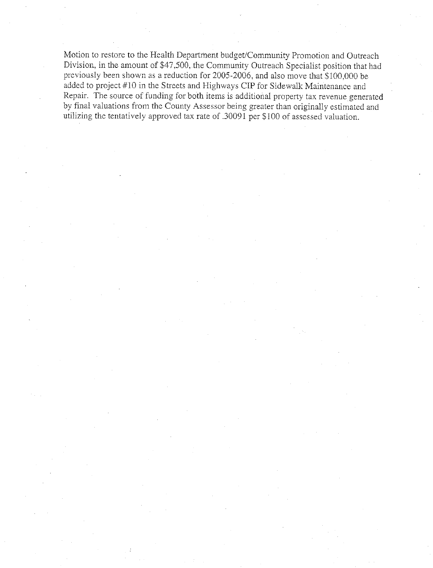Motion to restore to the Health Department budget/Community Promotion and Outreach Division, in the amount of \$47,500, the Community Outreach Specialist position that had previously been shown as a reduction for 2005-2006, and also move that \$100,000 be added to project #10 in the Streets and Highways CIP for Sidewalk Maintenance and Repair. The source of funding for both items is additional property tax revenue generated by final valuations from the County Assessor being greater than originally estimated and utilizing the tentatively approved tax rate of .30091 per \$100 of assessed valuation.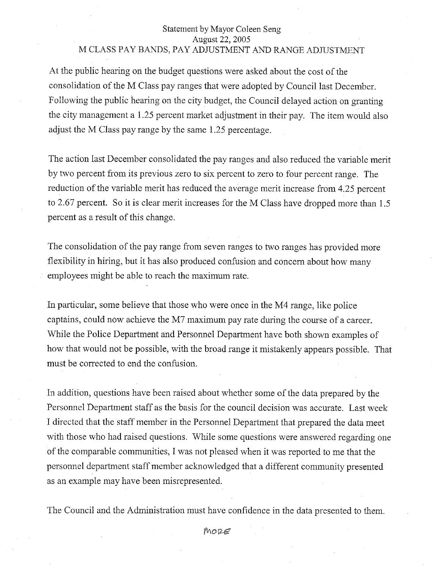# Statement by Mayor Coleen Seng August 22, 2005 M CLASS PAY BANDS, PAY ADJUSTMENT AND RANGE ADJUSTMENT

At the public hearing on the budget questions were asked about the cost of the consolidation of the M Class pay ranges that were adopted by Council last December. Following the public hearing on the city budget, the Council delayed action on granting the city management a 1.25 percent market adjustment in their pay. The item would also adjust the M Class pay range by the same 1.25 percentage.

The action last December consolidated the pay ranges and also reduced the variable merit by two percent from its previous zero to six percent to zero to four percent range. The reduction of the variable merit has reduced the average merit increase from 4.25 percent to 2.67 percent. So it is clear merit increases for the M Class have dropped more than 1.5 percent as a result of this change.

The consolidation of the pay range from seven ranges to two ranges has provided more flexibility in hiring, but it has also produced confusion and concern about how many employees might be able to reach the maximum rate.

In particular, some believe that those who were once in the M4 range, like police captains, could now achieve the M7 maximum pay rate during the course of a career. While the Police Department and Personnel Department have both shown examples of how that would not be possible, with the broad range it mistakenly appears possible. That must be corrected to end the confusion.

In addition, questions have been raised about whether some of the data prepared by the Personnel Department staff as the basis for the council decision was accurate. Last week I directed that the staff member in the Personnel Department that prepared the data meet with those who had raised questions. While some questions were answered regarding one of the comparable communities, I was not pleased when it was reported to me that the personnel department staff member acknowledged that a different community presented as an example may have been misrepresented.

The Council and the Administration must have confidence in the data presented to them.